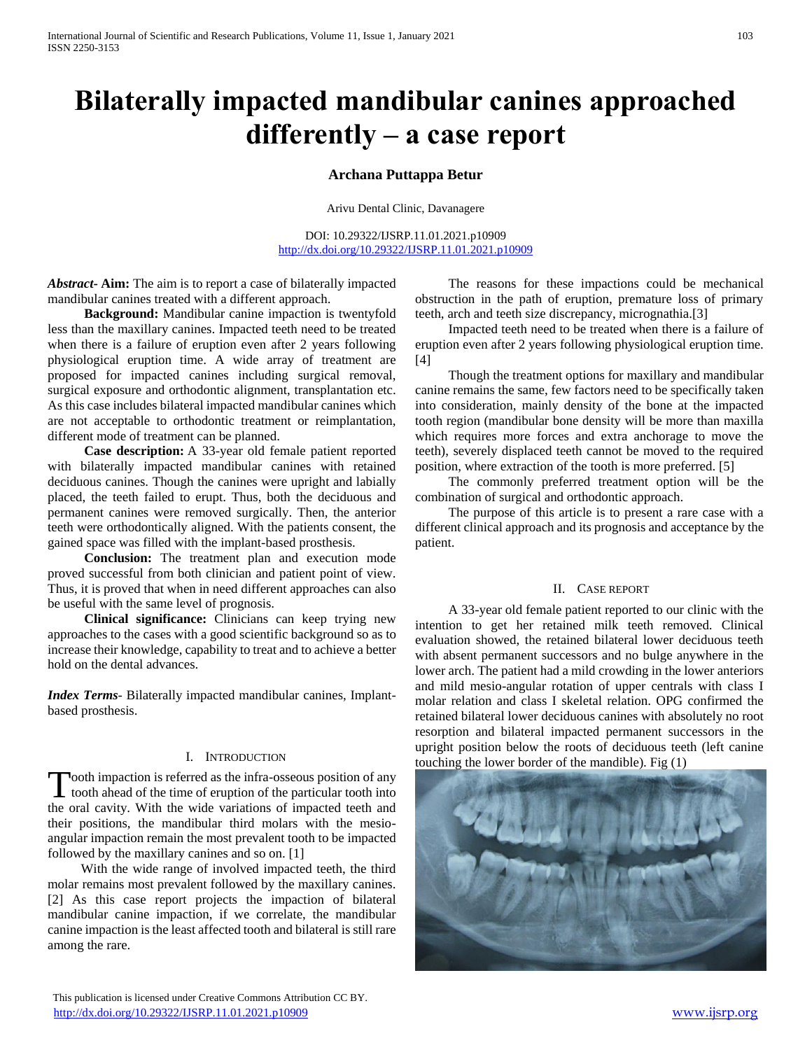# **Bilaterally impacted mandibular canines approached differently – a case report**

# **Archana Puttappa Betur**

Arivu Dental Clinic, Davanagere

DOI: 10.29322/IJSRP.11.01.2021.p10909 <http://dx.doi.org/10.29322/IJSRP.11.01.2021.p10909>

*Abstract***- Aim:** The aim is to report a case of bilaterally impacted mandibular canines treated with a different approach.

 **Background:** Mandibular canine impaction is twentyfold less than the maxillary canines. Impacted teeth need to be treated when there is a failure of eruption even after 2 years following physiological eruption time. A wide array of treatment are proposed for impacted canines including surgical removal, surgical exposure and orthodontic alignment, transplantation etc. As this case includes bilateral impacted mandibular canines which are not acceptable to orthodontic treatment or reimplantation, different mode of treatment can be planned.

 **Case description:** A 33-year old female patient reported with bilaterally impacted mandibular canines with retained deciduous canines. Though the canines were upright and labially placed, the teeth failed to erupt. Thus, both the deciduous and permanent canines were removed surgically. Then, the anterior teeth were orthodontically aligned. With the patients consent, the gained space was filled with the implant-based prosthesis.

 **Conclusion:** The treatment plan and execution mode proved successful from both clinician and patient point of view. Thus, it is proved that when in need different approaches can also be useful with the same level of prognosis.

 **Clinical significance:** Clinicians can keep trying new approaches to the cases with a good scientific background so as to increase their knowledge, capability to treat and to achieve a better hold on the dental advances.

*Index Terms*- Bilaterally impacted mandibular canines, Implantbased prosthesis.

### I. INTRODUCTION

ooth impaction is referred as the infra-osseous position of any Tooth impaction is referred as the infra-osseous position of any<br>tooth ahead of the time of eruption of the particular tooth into the oral cavity. With the wide variations of impacted teeth and their positions, the mandibular third molars with the mesioangular impaction remain the most prevalent tooth to be impacted followed by the maxillary canines and so on. [1]

 With the wide range of involved impacted teeth, the third molar remains most prevalent followed by the maxillary canines. [2] As this case report projects the impaction of bilateral mandibular canine impaction, if we correlate, the mandibular canine impaction is the least affected tooth and bilateral is still rare among the rare.

 The reasons for these impactions could be mechanical obstruction in the path of eruption, premature loss of primary teeth, arch and teeth size discrepancy, micrognathia.[3]

 Impacted teeth need to be treated when there is a failure of eruption even after 2 years following physiological eruption time. [4]

 Though the treatment options for maxillary and mandibular canine remains the same, few factors need to be specifically taken into consideration, mainly density of the bone at the impacted tooth region (mandibular bone density will be more than maxilla which requires more forces and extra anchorage to move the teeth), severely displaced teeth cannot be moved to the required position, where extraction of the tooth is more preferred. [5]

 The commonly preferred treatment option will be the combination of surgical and orthodontic approach.

 The purpose of this article is to present a rare case with a different clinical approach and its prognosis and acceptance by the patient.

## II. CASE REPORT

 A 33-year old female patient reported to our clinic with the intention to get her retained milk teeth removed. Clinical evaluation showed, the retained bilateral lower deciduous teeth with absent permanent successors and no bulge anywhere in the lower arch. The patient had a mild crowding in the lower anteriors and mild mesio-angular rotation of upper centrals with class I molar relation and class I skeletal relation. OPG confirmed the retained bilateral lower deciduous canines with absolutely no root resorption and bilateral impacted permanent successors in the upright position below the roots of deciduous teeth (left canine touching the lower border of the mandible). Fig (1)



This publication is licensed under Creative Commons Attribution CC BY. <http://dx.doi.org/10.29322/IJSRP.11.01.2021.p10909> [www.ijsrp.org](http://ijsrp.org/)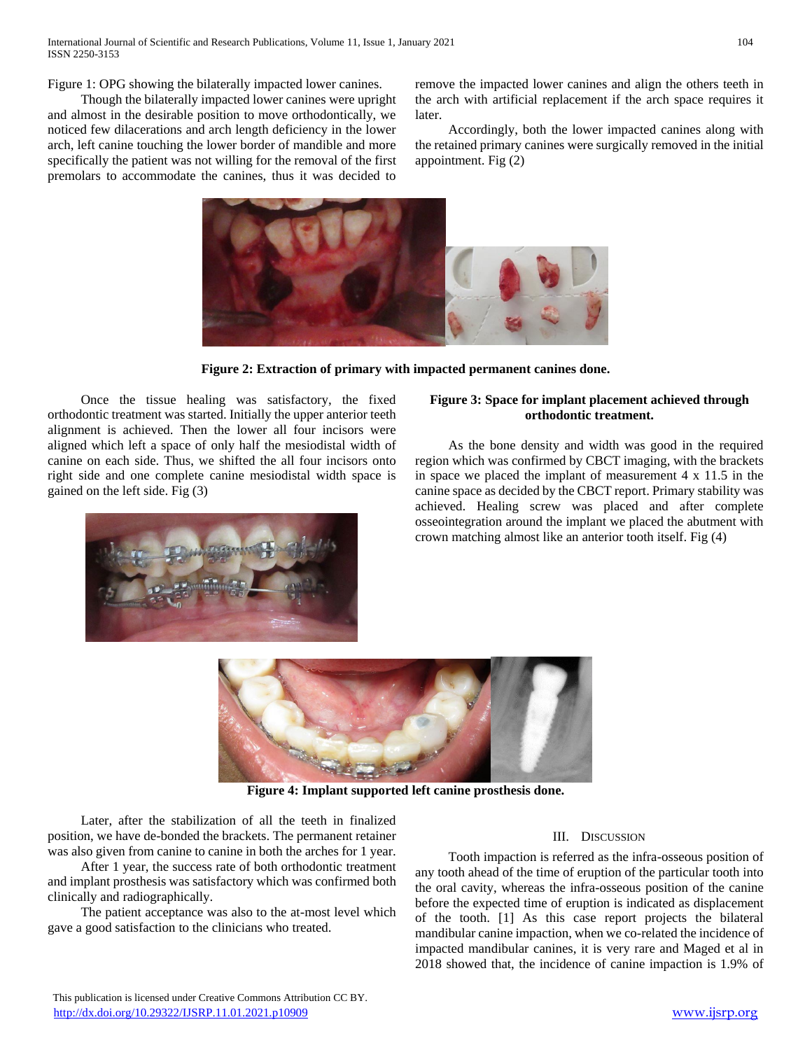Figure 1: OPG showing the bilaterally impacted lower canines.

 Though the bilaterally impacted lower canines were upright and almost in the desirable position to move orthodontically, we noticed few dilacerations and arch length deficiency in the lower arch, left canine touching the lower border of mandible and more specifically the patient was not willing for the removal of the first premolars to accommodate the canines, thus it was decided to

remove the impacted lower canines and align the others teeth in the arch with artificial replacement if the arch space requires it later.

 Accordingly, both the lower impacted canines along with the retained primary canines were surgically removed in the initial appointment. Fig (2)



**Figure 2: Extraction of primary with impacted permanent canines done.**

 Once the tissue healing was satisfactory, the fixed orthodontic treatment was started. Initially the upper anterior teeth alignment is achieved. Then the lower all four incisors were aligned which left a space of only half the mesiodistal width of canine on each side. Thus, we shifted the all four incisors onto right side and one complete canine mesiodistal width space is gained on the left side. Fig (3)



# **Figure 3: Space for implant placement achieved through orthodontic treatment.**

 As the bone density and width was good in the required region which was confirmed by CBCT imaging, with the brackets in space we placed the implant of measurement 4 x 11.5 in the canine space as decided by the CBCT report. Primary stability was achieved. Healing screw was placed and after complete osseointegration around the implant we placed the abutment with crown matching almost like an anterior tooth itself. Fig (4)



**Figure 4: Implant supported left canine prosthesis done.**

 Later, after the stabilization of all the teeth in finalized position, we have de-bonded the brackets. The permanent retainer was also given from canine to canine in both the arches for 1 year.

 After 1 year, the success rate of both orthodontic treatment and implant prosthesis was satisfactory which was confirmed both clinically and radiographically.

 The patient acceptance was also to the at-most level which gave a good satisfaction to the clinicians who treated.

## III. DISCUSSION

 Tooth impaction is referred as the infra-osseous position of any tooth ahead of the time of eruption of the particular tooth into the oral cavity, whereas the infra-osseous position of the canine before the expected time of eruption is indicated as displacement of the tooth. [1] As this case report projects the bilateral mandibular canine impaction, when we co-related the incidence of impacted mandibular canines, it is very rare and Maged et al in 2018 showed that, the incidence of canine impaction is 1.9% of